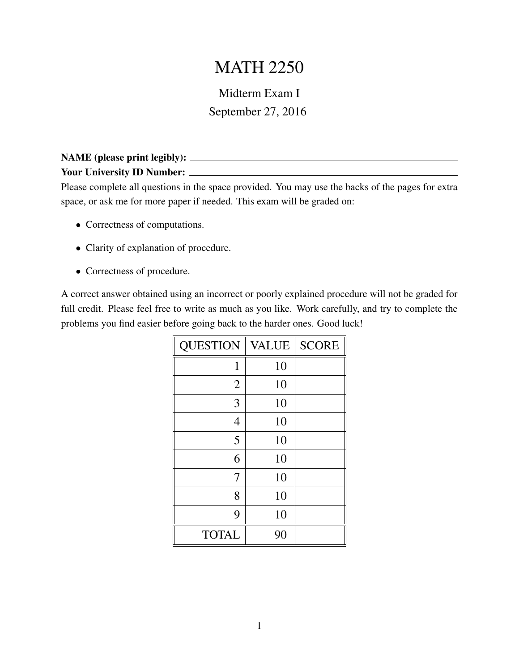## MATH 2250

## Midterm Exam I September 27, 2016

## NAME (please print legibly): Your University ID Number:

Please complete all questions in the space provided. You may use the backs of the pages for extra space, or ask me for more paper if needed. This exam will be graded on:

- Correctness of computations.
- Clarity of explanation of procedure.
- Correctness of procedure.

A correct answer obtained using an incorrect or poorly explained procedure will not be graded for full credit. Please feel free to write as much as you like. Work carefully, and try to complete the problems you find easier before going back to the harder ones. Good luck!

| <b>QUESTION</b> | <b>VALUE</b> | <b>SCORE</b> |
|-----------------|--------------|--------------|
| 1               | 10           |              |
| $\overline{2}$  | 10           |              |
| 3               | 10           |              |
| $\overline{4}$  | 10           |              |
| 5               | 10           |              |
| 6               | 10           |              |
| 7               | 10           |              |
| 8               | 10           |              |
| 9               | 10           |              |
| <b>TOTAL</b>    | 90           |              |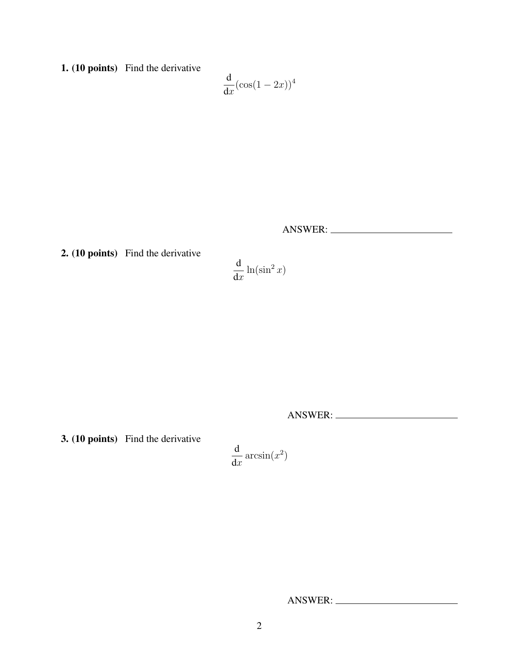1. (10 points) Find the derivative

$$
\frac{\mathrm{d}}{\mathrm{d}x}(\cos(1-2x))^4
$$

ANSWER:

2. (10 points) Find the derivative

$$
\frac{\mathrm{d}}{\mathrm{d}x}\ln(\sin^2x)
$$

ANSWER:

3. (10 points) Find the derivative

$$
\frac{\mathrm{d}}{\mathrm{d}x}\arcsin(x^2)
$$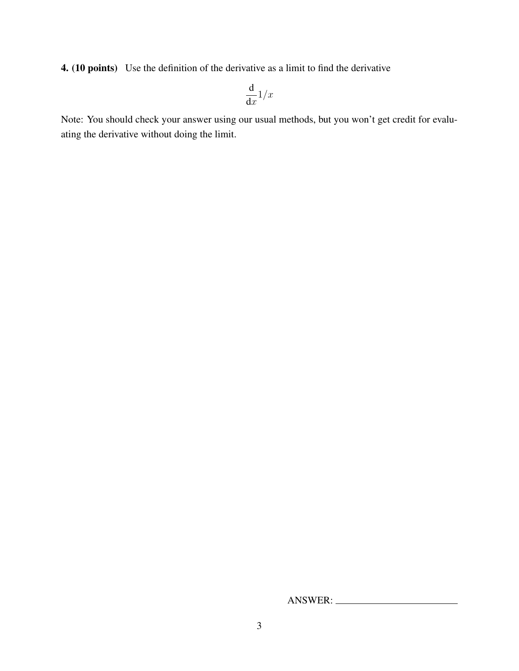4. (10 points) Use the definition of the derivative as a limit to find the derivative

$$
\frac{\mathrm{d}}{\mathrm{d}x}1/x
$$

Note: You should check your answer using our usual methods, but you won't get credit for evaluating the derivative without doing the limit.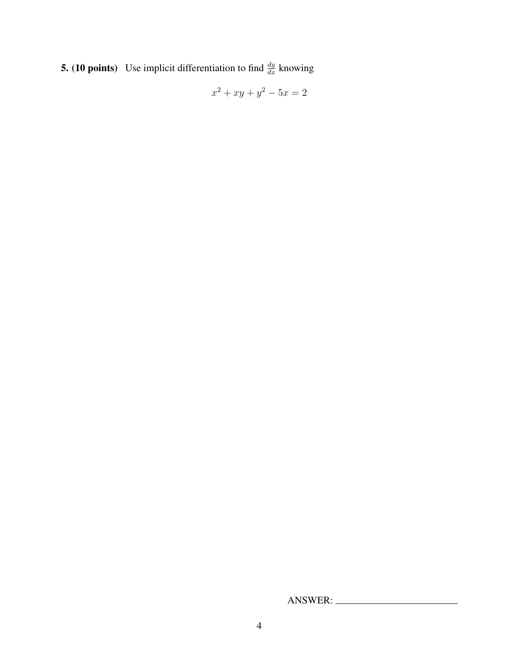**5.** (10 points) Use implicit differentiation to find  $\frac{dy}{dx}$  knowing

$$
x^2 + xy + y^2 - 5x = 2
$$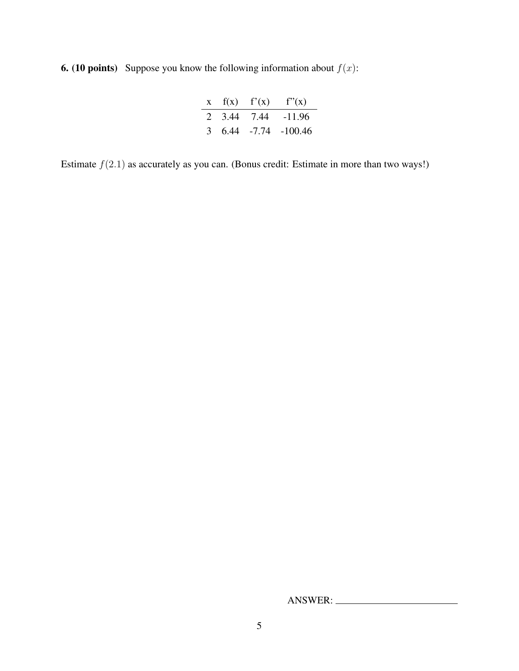**6.** (10 points) Suppose you know the following information about  $f(x)$ :

|  | $x$ $f(x)$ $f'(x)$ $f''(x)$ |
|--|-----------------------------|
|  | 2 3.44 7.44 -11.96          |
|  | $3, 6.44, -7.74, -100.46$   |

Estimate  $f(2.1)$  as accurately as you can. (Bonus credit: Estimate in more than two ways!)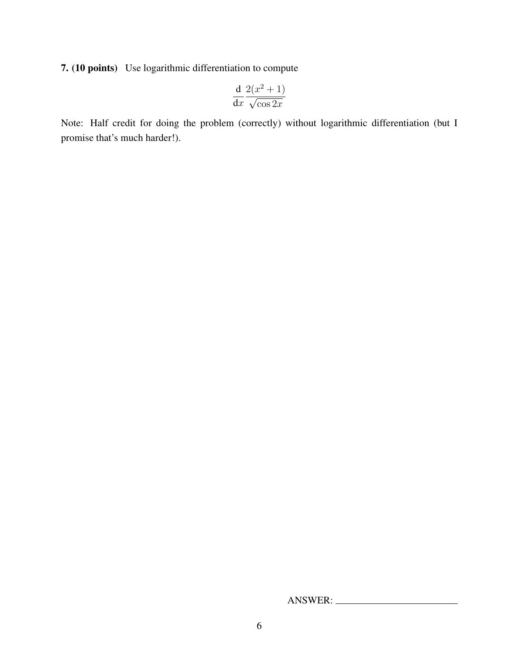7. (10 points) Use logarithmic differentiation to compute

$$
\frac{\mathrm{d}}{\mathrm{d}x} \frac{2(x^2+1)}{\sqrt{\cos 2x}}
$$

Note: Half credit for doing the problem (correctly) without logarithmic differentiation (but I promise that's much harder!).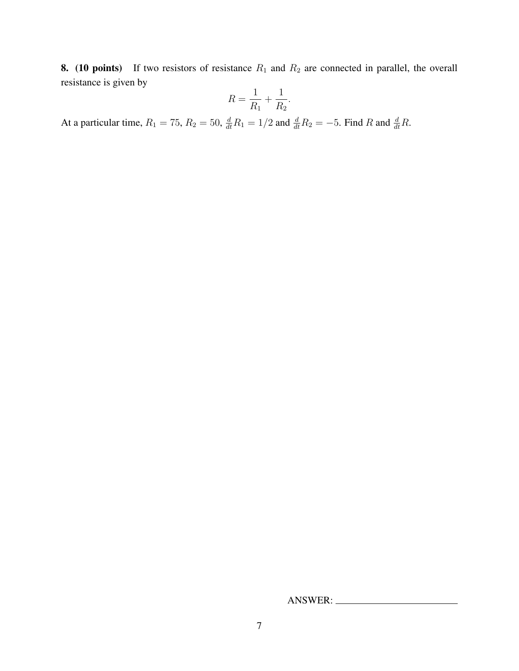8. (10 points) If two resistors of resistance  $R_1$  and  $R_2$  are connected in parallel, the overall resistance is given by

$$
R = \frac{1}{R_1} + \frac{1}{R_2}.
$$

At a particular time,  $R_1 = 75$ ,  $R_2 = 50$ ,  $\frac{d}{dt}R_1 = 1/2$  and  $\frac{d}{dt}R_2 = -5$ . Find R and  $\frac{d}{dt}R$ .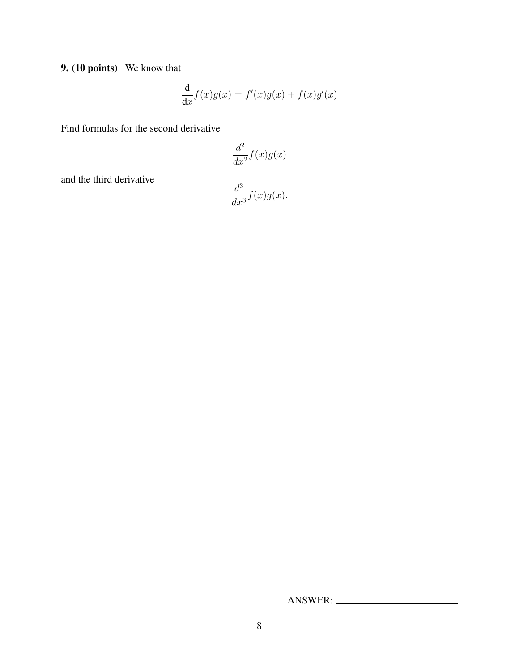9. (10 points) We know that

$$
\frac{\mathrm{d}}{\mathrm{d}x}f(x)g(x) = f'(x)g(x) + f(x)g'(x)
$$

Find formulas for the second derivative

$$
\frac{d^2}{dx^2}f(x)g(x)
$$

and the third derivative

$$
\frac{d^3}{dx^3}f(x)g(x).
$$